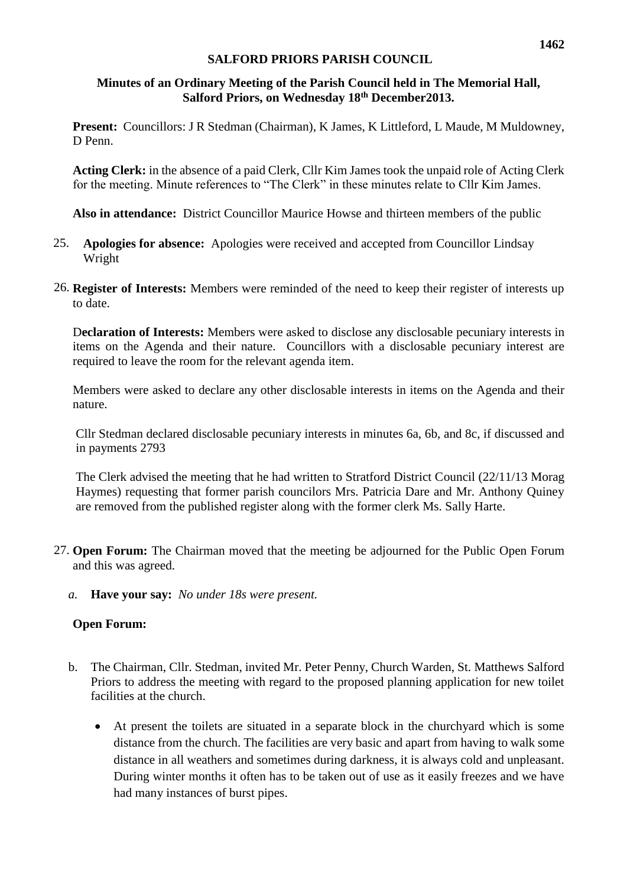#### **Minutes of an Ordinary Meeting of the Parish Council held in The Memorial Hall, Salford Priors, on Wednesday 18th December2013.**

**Present:** Councillors: J R Stedman (Chairman), K James, K Littleford, L Maude, M Muldowney, D Penn.

**Acting Clerk:** in the absence of a paid Clerk, Cllr Kim James took the unpaid role of Acting Clerk for the meeting. Minute references to "The Clerk" in these minutes relate to Cllr Kim James.

**Also in attendance:** District Councillor Maurice Howse and thirteen members of the public

- 25. **Apologies for absence:** Apologies were received and accepted from Councillor Lindsay Wright
- 26. **Register of Interests:** Members were reminded of the need to keep their register of interests up to date.

D**eclaration of Interests:** Members were asked to disclose any disclosable pecuniary interests in items on the Agenda and their nature. Councillors with a disclosable pecuniary interest are required to leave the room for the relevant agenda item.

Members were asked to declare any other disclosable interests in items on the Agenda and their nature.

Cllr Stedman declared disclosable pecuniary interests in minutes 6a, 6b, and 8c, if discussed and in payments 2793

The Clerk advised the meeting that he had written to Stratford District Council (22/11/13 Morag Haymes) requesting that former parish councilors Mrs. Patricia Dare and Mr. Anthony Quiney are removed from the published register along with the former clerk Ms. Sally Harte.

- 27. **Open Forum:** The Chairman moved that the meeting be adjourned for the Public Open Forum and this was agreed.
	- *a.* **Have your say:** *No under 18s were present.*

#### **Open Forum:**

- b. The Chairman, Cllr. Stedman, invited Mr. Peter Penny, Church Warden, St. Matthews Salford Priors to address the meeting with regard to the proposed planning application for new toilet facilities at the church.
	- At present the toilets are situated in a separate block in the churchyard which is some distance from the church. The facilities are very basic and apart from having to walk some distance in all weathers and sometimes during darkness, it is always cold and unpleasant. During winter months it often has to be taken out of use as it easily freezes and we have had many instances of burst pipes.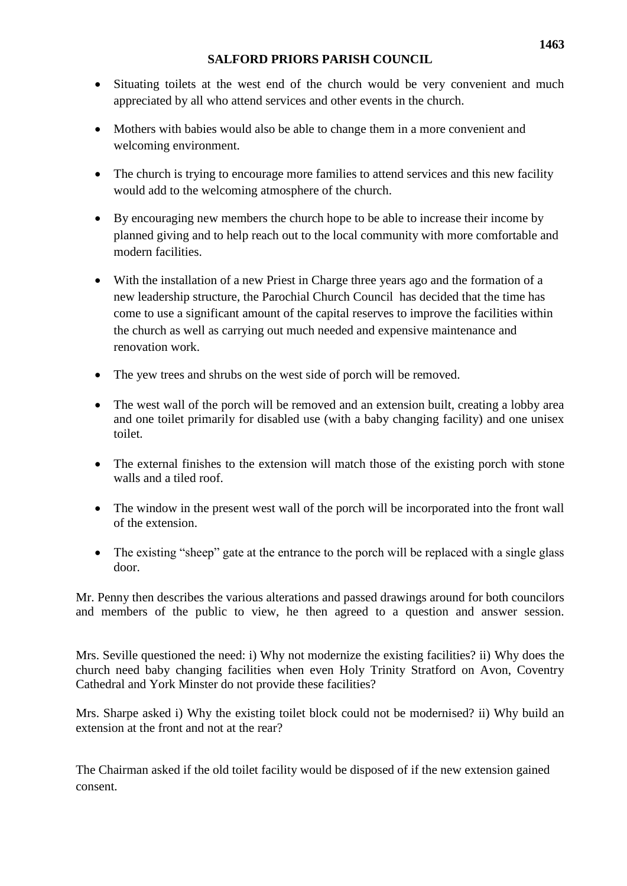- Situating toilets at the west end of the church would be very convenient and much appreciated by all who attend services and other events in the church.
- Mothers with babies would also be able to change them in a more convenient and welcoming environment.
- The church is trying to encourage more families to attend services and this new facility would add to the welcoming atmosphere of the church.
- By encouraging new members the church hope to be able to increase their income by planned giving and to help reach out to the local community with more comfortable and modern facilities.
- With the installation of a new Priest in Charge three years ago and the formation of a new leadership structure, the Parochial Church Council has decided that the time has come to use a significant amount of the capital reserves to improve the facilities within the church as well as carrying out much needed and expensive maintenance and renovation work.
- The yew trees and shrubs on the west side of porch will be removed.
- The west wall of the porch will be removed and an extension built, creating a lobby area and one toilet primarily for disabled use (with a baby changing facility) and one unisex toilet.
- The external finishes to the extension will match those of the existing porch with stone walls and a tiled roof.
- The window in the present west wall of the porch will be incorporated into the front wall of the extension.
- The existing "sheep" gate at the entrance to the porch will be replaced with a single glass door.

Mr. Penny then describes the various alterations and passed drawings around for both councilors and members of the public to view, he then agreed to a question and answer session.

Mrs. Seville questioned the need: i) Why not modernize the existing facilities? ii) Why does the church need baby changing facilities when even Holy Trinity Stratford on Avon, Coventry Cathedral and York Minster do not provide these facilities?

Mrs. Sharpe asked i) Why the existing toilet block could not be modernised? ii) Why build an extension at the front and not at the rear?

The Chairman asked if the old toilet facility would be disposed of if the new extension gained consent.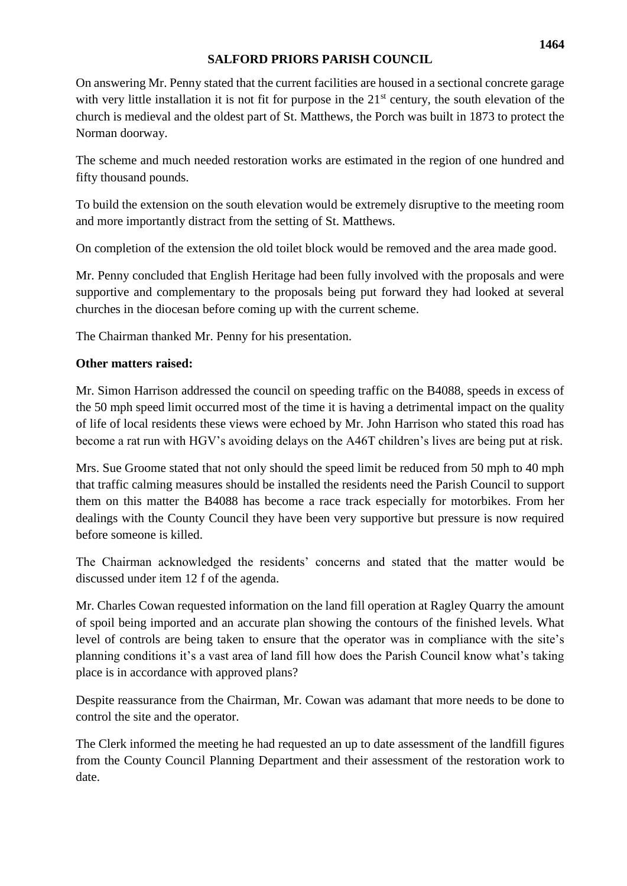On answering Mr. Penny stated that the current facilities are housed in a sectional concrete garage with very little installation it is not fit for purpose in the  $21<sup>st</sup>$  century, the south elevation of the church is medieval and the oldest part of St. Matthews, the Porch was built in 1873 to protect the Norman doorway.

The scheme and much needed restoration works are estimated in the region of one hundred and fifty thousand pounds.

To build the extension on the south elevation would be extremely disruptive to the meeting room and more importantly distract from the setting of St. Matthews.

On completion of the extension the old toilet block would be removed and the area made good.

Mr. Penny concluded that English Heritage had been fully involved with the proposals and were supportive and complementary to the proposals being put forward they had looked at several churches in the diocesan before coming up with the current scheme.

The Chairman thanked Mr. Penny for his presentation.

## **Other matters raised:**

Mr. Simon Harrison addressed the council on speeding traffic on the B4088, speeds in excess of the 50 mph speed limit occurred most of the time it is having a detrimental impact on the quality of life of local residents these views were echoed by Mr. John Harrison who stated this road has become a rat run with HGV's avoiding delays on the A46T children's lives are being put at risk.

Mrs. Sue Groome stated that not only should the speed limit be reduced from 50 mph to 40 mph that traffic calming measures should be installed the residents need the Parish Council to support them on this matter the B4088 has become a race track especially for motorbikes. From her dealings with the County Council they have been very supportive but pressure is now required before someone is killed.

The Chairman acknowledged the residents' concerns and stated that the matter would be discussed under item 12 f of the agenda.

Mr. Charles Cowan requested information on the land fill operation at Ragley Quarry the amount of spoil being imported and an accurate plan showing the contours of the finished levels. What level of controls are being taken to ensure that the operator was in compliance with the site's planning conditions it's a vast area of land fill how does the Parish Council know what's taking place is in accordance with approved plans?

Despite reassurance from the Chairman, Mr. Cowan was adamant that more needs to be done to control the site and the operator.

The Clerk informed the meeting he had requested an up to date assessment of the landfill figures from the County Council Planning Department and their assessment of the restoration work to date.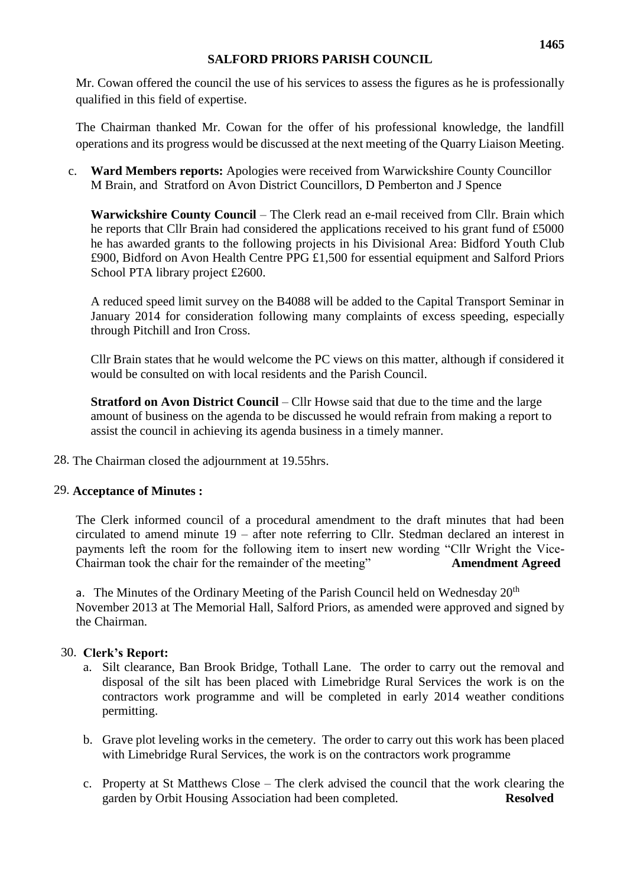Mr. Cowan offered the council the use of his services to assess the figures as he is professionally qualified in this field of expertise.

The Chairman thanked Mr. Cowan for the offer of his professional knowledge, the landfill operations and its progress would be discussed at the next meeting of the Quarry Liaison Meeting.

c. **Ward Members reports:** Apologies were received from Warwickshire County Councillor M Brain, and Stratford on Avon District Councillors, D Pemberton and J Spence

**Warwickshire County Council** – The Clerk read an e-mail received from Cllr. Brain which he reports that Cllr Brain had considered the applications received to his grant fund of £5000 he has awarded grants to the following projects in his Divisional Area: Bidford Youth Club £900, Bidford on Avon Health Centre PPG £1,500 for essential equipment and Salford Priors School PTA library project £2600.

A reduced speed limit survey on the B4088 will be added to the Capital Transport Seminar in January 2014 for consideration following many complaints of excess speeding, especially through Pitchill and Iron Cross.

Cllr Brain states that he would welcome the PC views on this matter, although if considered it would be consulted on with local residents and the Parish Council.

**Stratford on Avon District Council** – Cllr Howse said that due to the time and the large amount of business on the agenda to be discussed he would refrain from making a report to assist the council in achieving its agenda business in a timely manner.

28. The Chairman closed the adjournment at 19.55hrs.

#### 29. **Acceptance of Minutes :**

The Clerk informed council of a procedural amendment to the draft minutes that had been circulated to amend minute 19 – after note referring to Cllr. Stedman declared an interest in payments left the room for the following item to insert new wording "Cllr Wright the Vice-Chairman took the chair for the remainder of the meeting" **Amendment Agreed**

a. The Minutes of the Ordinary Meeting of the Parish Council held on Wednesday  $20<sup>th</sup>$ November 2013 at The Memorial Hall, Salford Priors, as amended were approved and signed by the Chairman.

#### 30. **Clerk's Report:**

- a. Silt clearance, Ban Brook Bridge, Tothall Lane. The order to carry out the removal and disposal of the silt has been placed with Limebridge Rural Services the work is on the contractors work programme and will be completed in early 2014 weather conditions permitting.
- b. Grave plot leveling works in the cemetery. The order to carry out this work has been placed with Limebridge Rural Services, the work is on the contractors work programme
- c. Property at St Matthews Close The clerk advised the council that the work clearing the garden by Orbit Housing Association had been completed. **Resolved**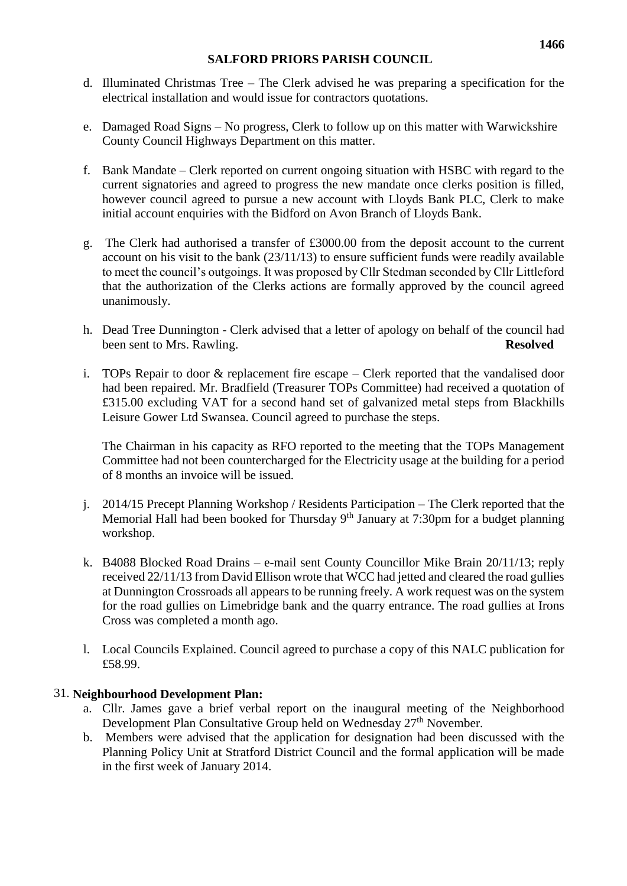- d. Illuminated Christmas Tree The Clerk advised he was preparing a specification for the electrical installation and would issue for contractors quotations.
- e. Damaged Road Signs No progress, Clerk to follow up on this matter with Warwickshire County Council Highways Department on this matter.
- f. Bank Mandate Clerk reported on current ongoing situation with HSBC with regard to the current signatories and agreed to progress the new mandate once clerks position is filled, however council agreed to pursue a new account with Lloyds Bank PLC, Clerk to make initial account enquiries with the Bidford on Avon Branch of Lloyds Bank.
- g. The Clerk had authorised a transfer of £3000.00 from the deposit account to the current account on his visit to the bank (23/11/13) to ensure sufficient funds were readily available to meet the council's outgoings. It was proposed by Cllr Stedman seconded by Cllr Littleford that the authorization of the Clerks actions are formally approved by the council agreed unanimously.
- h. Dead Tree Dunnington Clerk advised that a letter of apology on behalf of the council had been sent to Mrs. Rawling. **Resolved**
- i. TOPs Repair to door & replacement fire escape Clerk reported that the vandalised door had been repaired. Mr. Bradfield (Treasurer TOPs Committee) had received a quotation of £315.00 excluding VAT for a second hand set of galvanized metal steps from Blackhills Leisure Gower Ltd Swansea. Council agreed to purchase the steps.

The Chairman in his capacity as RFO reported to the meeting that the TOPs Management Committee had not been countercharged for the Electricity usage at the building for a period of 8 months an invoice will be issued.

- j. 2014/15 Precept Planning Workshop / Residents Participation The Clerk reported that the Memorial Hall had been booked for Thursday  $9<sup>th</sup>$  January at 7:30pm for a budget planning workshop.
- k. B4088 Blocked Road Drains e-mail sent County Councillor Mike Brain 20/11/13; reply received 22/11/13 from David Ellison wrote that WCC had jetted and cleared the road gullies at Dunnington Crossroads all appears to be running freely. A work request was on the system for the road gullies on Limebridge bank and the quarry entrance. The road gullies at Irons Cross was completed a month ago.
- l. Local Councils Explained. Council agreed to purchase a copy of this NALC publication for £58.99.

#### 31. **Neighbourhood Development Plan:**

- a. Cllr. James gave a brief verbal report on the inaugural meeting of the Neighborhood Development Plan Consultative Group held on Wednesday 27<sup>th</sup> November.
- b. Members were advised that the application for designation had been discussed with the Planning Policy Unit at Stratford District Council and the formal application will be made in the first week of January 2014.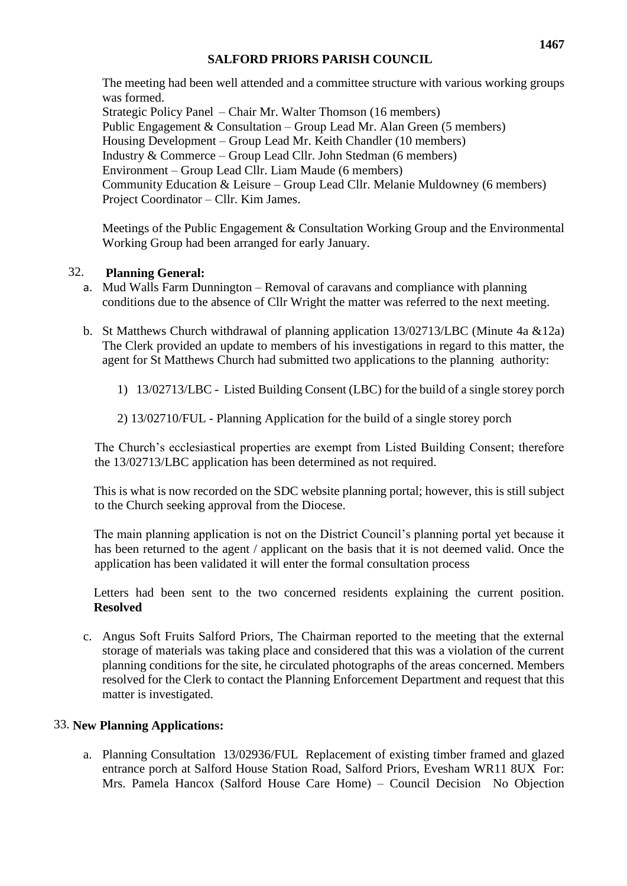The meeting had been well attended and a committee structure with various working groups was formed. Strategic Policy Panel – Chair Mr. Walter Thomson (16 members) Public Engagement & Consultation – Group Lead Mr. Alan Green (5 members) Housing Development – Group Lead Mr. Keith Chandler (10 members)

Industry & Commerce – Group Lead Cllr. John Stedman (6 members)

Environment – Group Lead Cllr. Liam Maude (6 members)

Community Education & Leisure – Group Lead Cllr. Melanie Muldowney (6 members) Project Coordinator – Cllr. Kim James.

Meetings of the Public Engagement & Consultation Working Group and the Environmental Working Group had been arranged for early January.

## 32. **Planning General:**

- a. Mud Walls Farm Dunnington Removal of caravans and compliance with planning conditions due to the absence of Cllr Wright the matter was referred to the next meeting.
- b. St Matthews Church withdrawal of planning application 13/02713/LBC (Minute 4a &12a) The Clerk provided an update to members of his investigations in regard to this matter, the agent for St Matthews Church had submitted two applications to the planning authority:
	- 1) 13/02713/LBC Listed Building Consent (LBC) for the build of a single storey porch
	- 2) 13/02710/FUL Planning Application for the build of a single storey porch

The Church's ecclesiastical properties are exempt from Listed Building Consent; therefore the 13/02713/LBC application has been determined as not required.

This is what is now recorded on the SDC website planning portal; however, this is still subject to the Church seeking approval from the Diocese.

The main planning application is not on the District Council's planning portal yet because it has been returned to the agent / applicant on the basis that it is not deemed valid. Once the application has been validated it will enter the formal consultation process

Letters had been sent to the two concerned residents explaining the current position. **Resolved**

c. Angus Soft Fruits Salford Priors, The Chairman reported to the meeting that the external storage of materials was taking place and considered that this was a violation of the current planning conditions for the site, he circulated photographs of the areas concerned. Members resolved for the Clerk to contact the Planning Enforcement Department and request that this matter is investigated.

#### 33. **New Planning Applications:**

a. Planning Consultation 13/02936/FUL Replacement of existing timber framed and glazed entrance porch at Salford House Station Road, Salford Priors, Evesham WR11 8UX For: Mrs. Pamela Hancox (Salford House Care Home) – Council Decision No Objection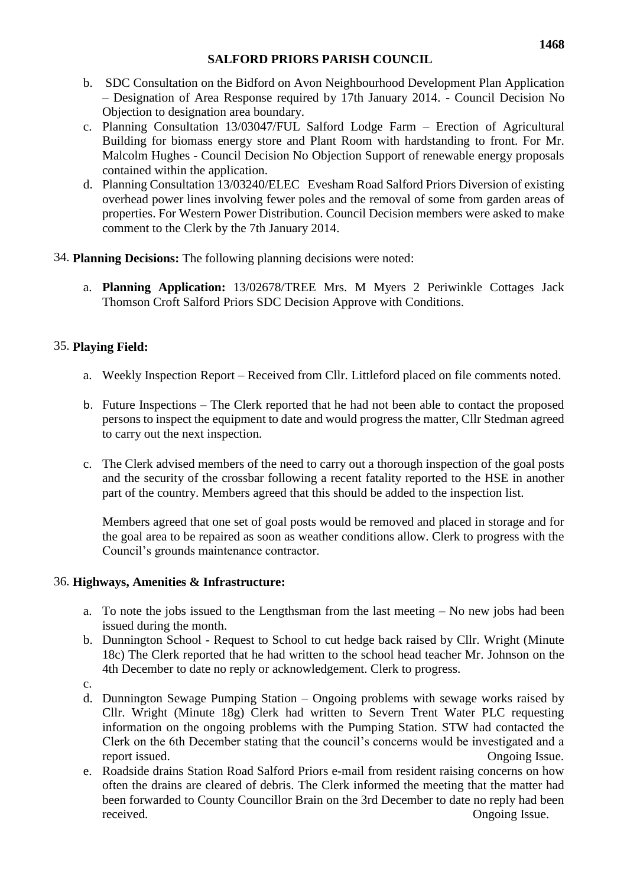- b. SDC Consultation on the Bidford on Avon Neighbourhood Development Plan Application – Designation of Area Response required by 17th January 2014. - Council Decision No Objection to designation area boundary.
- c. Planning Consultation 13/03047/FUL Salford Lodge Farm Erection of Agricultural Building for biomass energy store and Plant Room with hardstanding to front. For Mr. Malcolm Hughes - Council Decision No Objection Support of renewable energy proposals contained within the application.
- d. Planning Consultation 13/03240/ELEC Evesham Road Salford Priors Diversion of existing overhead power lines involving fewer poles and the removal of some from garden areas of properties. For Western Power Distribution. Council Decision members were asked to make comment to the Clerk by the 7th January 2014.
- 34. **Planning Decisions:** The following planning decisions were noted:
	- a. **Planning Application:** 13/02678/TREE Mrs. M Myers 2 Periwinkle Cottages Jack Thomson Croft Salford Priors SDC Decision Approve with Conditions.

## 35. **Playing Field:**

- a. Weekly Inspection Report Received from Cllr. Littleford placed on file comments noted.
- b. Future Inspections The Clerk reported that he had not been able to contact the proposed persons to inspect the equipment to date and would progress the matter, Cllr Stedman agreed to carry out the next inspection.
- c. The Clerk advised members of the need to carry out a thorough inspection of the goal posts and the security of the crossbar following a recent fatality reported to the HSE in another part of the country. Members agreed that this should be added to the inspection list.

Members agreed that one set of goal posts would be removed and placed in storage and for the goal area to be repaired as soon as weather conditions allow. Clerk to progress with the Council's grounds maintenance contractor.

#### 36. **Highways, Amenities & Infrastructure:**

- a. To note the jobs issued to the Lengthsman from the last meeting No new jobs had been issued during the month.
- b. Dunnington School Request to School to cut hedge back raised by Cllr. Wright (Minute 18c) The Clerk reported that he had written to the school head teacher Mr. Johnson on the 4th December to date no reply or acknowledgement. Clerk to progress.
- c.
- d. Dunnington Sewage Pumping Station Ongoing problems with sewage works raised by Cllr. Wright (Minute 18g) Clerk had written to Severn Trent Water PLC requesting information on the ongoing problems with the Pumping Station. STW had contacted the Clerk on the 6th December stating that the council's concerns would be investigated and a report issued. Ongoing Issue.
- e. Roadside drains Station Road Salford Priors e-mail from resident raising concerns on how often the drains are cleared of debris. The Clerk informed the meeting that the matter had been forwarded to County Councillor Brain on the 3rd December to date no reply had been received. Ongoing Issue.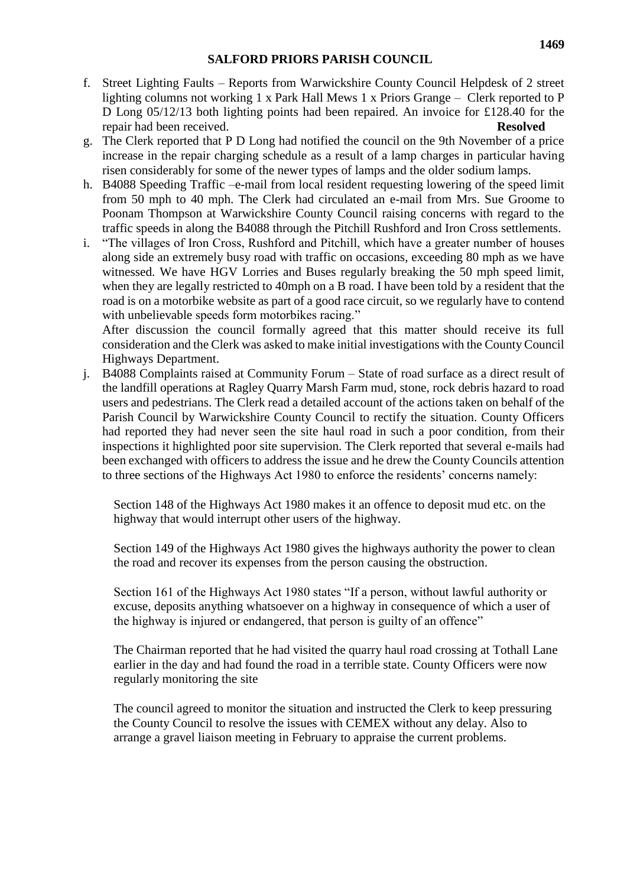- f. Street Lighting Faults Reports from Warwickshire County Council Helpdesk of 2 street lighting columns not working 1 x Park Hall Mews 1 x Priors Grange – Clerk reported to P D Long 05/12/13 both lighting points had been repaired. An invoice for £128.40 for the repair had been received. **Resolved**
- g. The Clerk reported that P D Long had notified the council on the 9th November of a price increase in the repair charging schedule as a result of a lamp charges in particular having risen considerably for some of the newer types of lamps and the older sodium lamps.
- h. B4088 Speeding Traffic –e-mail from local resident requesting lowering of the speed limit from 50 mph to 40 mph. The Clerk had circulated an e-mail from Mrs. Sue Groome to Poonam Thompson at Warwickshire County Council raising concerns with regard to the traffic speeds in along the B4088 through the Pitchill Rushford and Iron Cross settlements.
- i. "The villages of Iron Cross, Rushford and Pitchill, which have a greater number of houses along side an extremely busy road with traffic on occasions, exceeding 80 mph as we have witnessed. We have HGV Lorries and Buses regularly breaking the 50 mph speed limit, when they are legally restricted to 40mph on a B road. I have been told by a resident that the road is on a motorbike website as part of a good race circuit, so we regularly have to contend with unbelievable speeds form motorbikes racing."

After discussion the council formally agreed that this matter should receive its full consideration and the Clerk was asked to make initial investigations with the County Council Highways Department.

j. B4088 Complaints raised at Community Forum – State of road surface as a direct result of the landfill operations at Ragley Quarry Marsh Farm mud, stone, rock debris hazard to road users and pedestrians. The Clerk read a detailed account of the actions taken on behalf of the Parish Council by Warwickshire County Council to rectify the situation. County Officers had reported they had never seen the site haul road in such a poor condition, from their inspections it highlighted poor site supervision. The Clerk reported that several e-mails had been exchanged with officers to address the issue and he drew the County Councils attention to three sections of the Highways Act 1980 to enforce the residents' concerns namely:

Section 148 of the Highways Act 1980 makes it an offence to deposit mud etc. on the highway that would interrupt other users of the highway.

Section 149 of the Highways Act 1980 gives the highways authority the power to clean the road and recover its expenses from the person causing the obstruction.

Section 161 of the Highways Act 1980 states "If a person, without lawful authority or excuse, deposits anything whatsoever on a highway in consequence of which a user of the highway is injured or endangered, that person is guilty of an offence"

The Chairman reported that he had visited the quarry haul road crossing at Tothall Lane earlier in the day and had found the road in a terrible state. County Officers were now regularly monitoring the site

The council agreed to monitor the situation and instructed the Clerk to keep pressuring the County Council to resolve the issues with CEMEX without any delay. Also to arrange a gravel liaison meeting in February to appraise the current problems.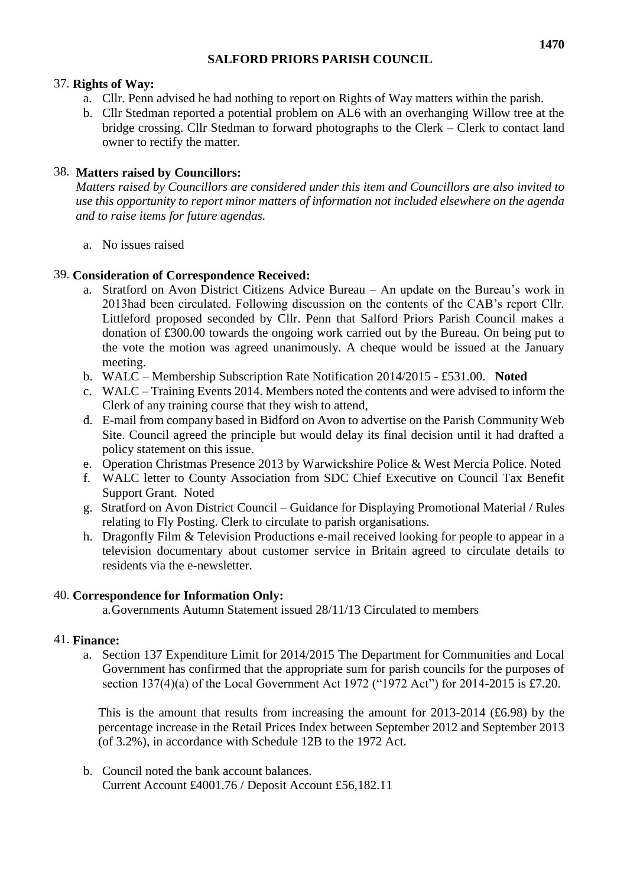## 37. **Rights of Way:**

- a. Cllr. Penn advised he had nothing to report on Rights of Way matters within the parish.
- b. Cllr Stedman reported a potential problem on AL6 with an overhanging Willow tree at the bridge crossing. Cllr Stedman to forward photographs to the Clerk – Clerk to contact land owner to rectify the matter.

## 38. **Matters raised by Councillors:**

*Matters raised by Councillors are considered under this item and Councillors are also invited to use this opportunity to report minor matters of information not included elsewhere on the agenda and to raise items for future agendas.*

a. No issues raised

## 39. **Consideration of Correspondence Received:**

- a. Stratford on Avon District Citizens Advice Bureau An update on the Bureau's work in 2013had been circulated. Following discussion on the contents of the CAB's report Cllr. Littleford proposed seconded by Cllr. Penn that Salford Priors Parish Council makes a donation of £300.00 towards the ongoing work carried out by the Bureau. On being put to the vote the motion was agreed unanimously. A cheque would be issued at the January meeting.
- b. WALC Membership Subscription Rate Notification 2014/2015 £531.00. **Noted**
- c. WALC Training Events 2014. Members noted the contents and were advised to inform the Clerk of any training course that they wish to attend,
- d. E-mail from company based in Bidford on Avon to advertise on the Parish Community Web Site. Council agreed the principle but would delay its final decision until it had drafted a policy statement on this issue.
- e. Operation Christmas Presence 2013 by Warwickshire Police & West Mercia Police. Noted
- f. WALC letter to County Association from SDC Chief Executive on Council Tax Benefit Support Grant. Noted
- g. Stratford on Avon District Council Guidance for Displaying Promotional Material / Rules relating to Fly Posting. Clerk to circulate to parish organisations.
- h. Dragonfly Film & Television Productions e-mail received looking for people to appear in a television documentary about customer service in Britain agreed to circulate details to residents via the e-newsletter.

## 40. **Correspondence for Information Only:**

a.Governments Autumn Statement issued 28/11/13 Circulated to members

#### 41. **Finance:**

a. Section 137 Expenditure Limit for 2014/2015 The Department for Communities and Local Government has confirmed that the appropriate sum for parish councils for the purposes of section 137(4)(a) of the Local Government Act 1972 ("1972 Act") for 2014-2015 is £7.20.

This is the amount that results from increasing the amount for 2013-2014 (£6.98) by the percentage increase in the Retail Prices Index between September 2012 and September 2013 (of 3.2%), in accordance with Schedule 12B to the 1972 Act.

b. Council noted the bank account balances. Current Account £4001.76 / Deposit Account £56,182.11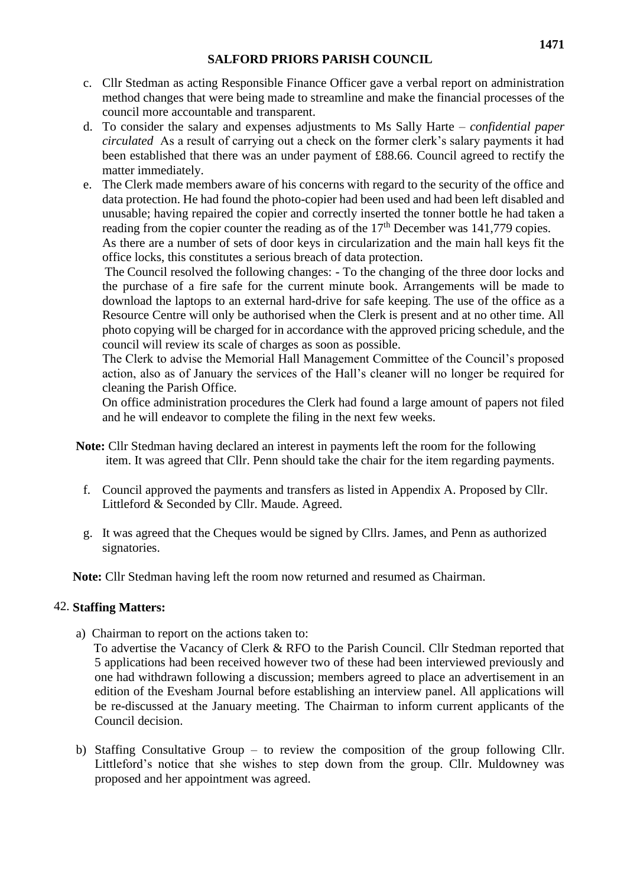- c. Cllr Stedman as acting Responsible Finance Officer gave a verbal report on administration method changes that were being made to streamline and make the financial processes of the council more accountable and transparent.
- d. To consider the salary and expenses adjustments to Ms Sally Harte *confidential paper circulated* As a result of carrying out a check on the former clerk's salary payments it had been established that there was an under payment of £88.66. Council agreed to rectify the matter immediately.
- e. The Clerk made members aware of his concerns with regard to the security of the office and data protection. He had found the photo-copier had been used and had been left disabled and unusable; having repaired the copier and correctly inserted the tonner bottle he had taken a reading from the copier counter the reading as of the 17<sup>th</sup> December was 141,779 copies. As there are a number of sets of door keys in circularization and the main hall keys fit the

office locks, this constitutes a serious breach of data protection. The Council resolved the following changes: - To the changing of the three door locks and the purchase of a fire safe for the current minute book. Arrangements will be made to download the laptops to an external hard-drive for safe keeping. The use of the office as a Resource Centre will only be authorised when the Clerk is present and at no other time. All photo copying will be charged for in accordance with the approved pricing schedule, and the council will review its scale of charges as soon as possible.

The Clerk to advise the Memorial Hall Management Committee of the Council's proposed action, also as of January the services of the Hall's cleaner will no longer be required for cleaning the Parish Office.

On office administration procedures the Clerk had found a large amount of papers not filed and he will endeavor to complete the filing in the next few weeks.

- **Note:** Cllr Stedman having declared an interest in payments left the room for the following item. It was agreed that Cllr. Penn should take the chair for the item regarding payments.
	- f. Council approved the payments and transfers as listed in Appendix A. Proposed by Cllr. Littleford & Seconded by Cllr. Maude. Agreed.
	- g. It was agreed that the Cheques would be signed by Cllrs. James, and Penn as authorized signatories.

**Note:** Cllr Stedman having left the room now returned and resumed as Chairman.

#### 42. **Staffing Matters:**

- a)Chairman to report on the actions taken to:
	- To advertise the Vacancy of Clerk & RFO to the Parish Council. Cllr Stedman reported that 5 applications had been received however two of these had been interviewed previously and one had withdrawn following a discussion; members agreed to place an advertisement in an edition of the Evesham Journal before establishing an interview panel. All applications will be re-discussed at the January meeting. The Chairman to inform current applicants of the Council decision.
- b) Staffing Consultative Group to review the composition of the group following Cllr. Littleford's notice that she wishes to step down from the group. Cllr. Muldowney was proposed and her appointment was agreed.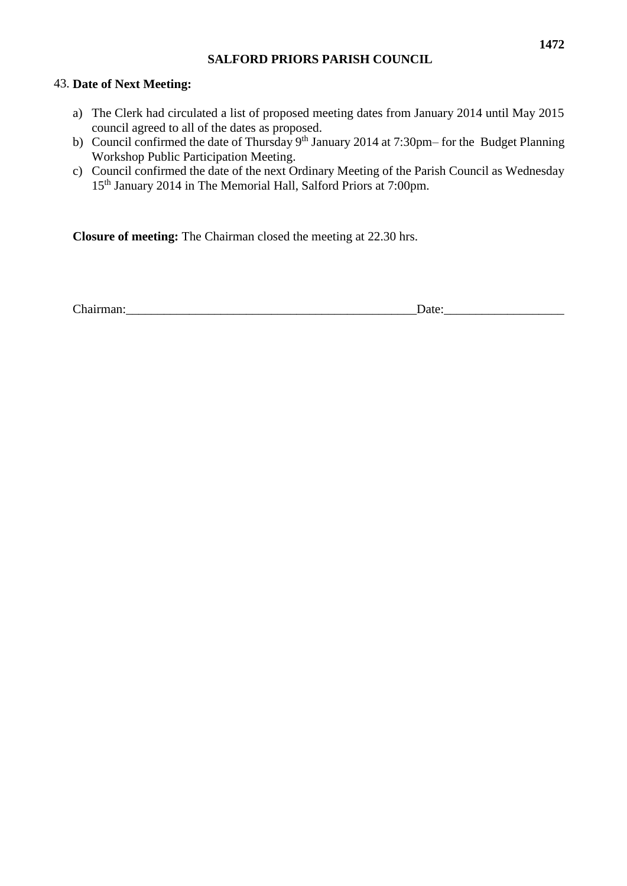#### 43. **Date of Next Meeting:**

- a) The Clerk had circulated a list of proposed meeting dates from January 2014 until May 2015 council agreed to all of the dates as proposed.
- b) Council confirmed the date of Thursday 9<sup>th</sup> January 2014 at 7:30pm– for the Budget Planning Workshop Public Participation Meeting.
- c) Council confirmed the date of the next Ordinary Meeting of the Parish Council as Wednesday 15th January 2014 in The Memorial Hall, Salford Priors at 7:00pm.

**Closure of meeting:** The Chairman closed the meeting at 22.30 hrs.

| тият<br>$\cdots$<br>-<br>___ |
|------------------------------|
|------------------------------|